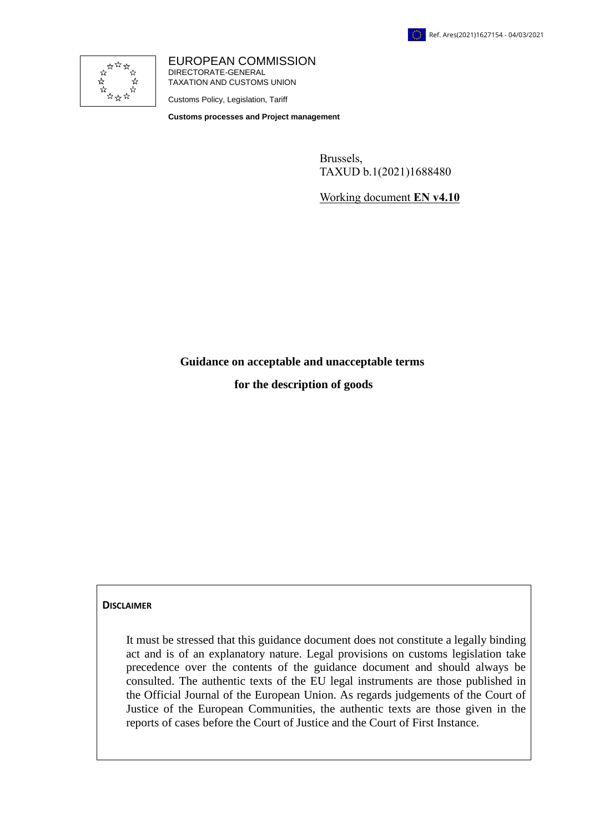

EUROPEAN COMMISSION DIRECTORATE-GENERAL TAXATION AND CUSTOMS UNION

Customs Policy, Legislation, Tariff

**Customs processes and Project management**

Brussels, TAXUD b.1(2021)1688480

Working document **EN v4.10**

**Guidance on acceptable and unacceptable terms**

**for the description of goods**

#### **DISCLAIMER**

It must be stressed that this guidance document does not constitute a legally binding act and is of an explanatory nature. Legal provisions on customs legislation take precedence over the contents of the guidance document and should always be consulted. The authentic texts of the EU legal instruments are those published in the Official Journal of the European Union. As regards judgements of the Court of Justice of the European Communities, the authentic texts are those given in the reports of cases before the Court of Justice and the Court of First Instance.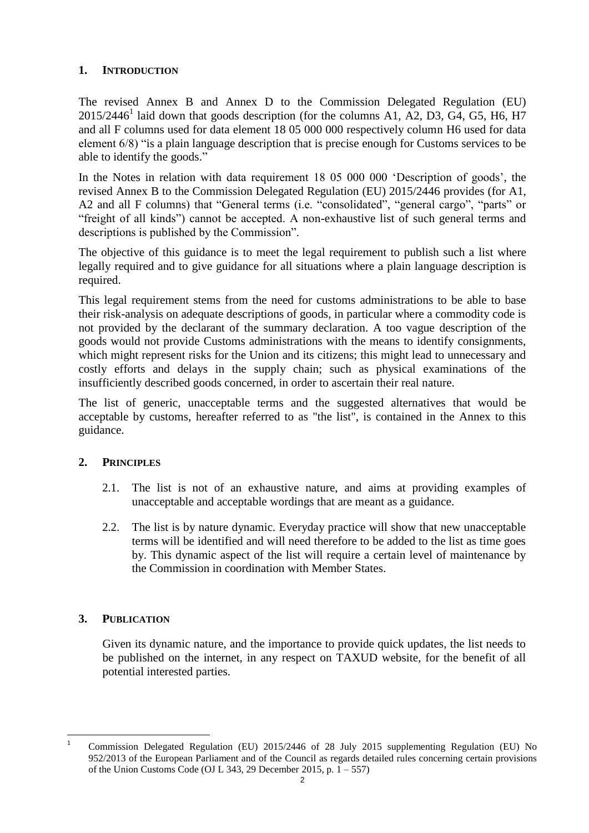### **1. INTRODUCTION**

The revised Annex B and Annex D to the Commission Delegated Regulation (EU)  $2015/2446<sup>1</sup>$  laid down that goods description (for the columns A1, A2, D3, G4, G5, H6, H7 and all F columns used for data element 18 05 000 000 respectively column H6 used for data element 6/8) "is a plain language description that is precise enough for Customs services to be able to identify the goods."

In the Notes in relation with data requirement 18 05 000 000 'Description of goods', the revised Annex B to the Commission Delegated Regulation (EU) 2015/2446 provides (for A1, A2 and all F columns) that "General terms (i.e. "consolidated", "general cargo", "parts" or "freight of all kinds") cannot be accepted. A non-exhaustive list of such general terms and descriptions is published by the Commission".

The objective of this guidance is to meet the legal requirement to publish such a list where legally required and to give guidance for all situations where a plain language description is required.

This legal requirement stems from the need for customs administrations to be able to base their risk-analysis on adequate descriptions of goods, in particular where a commodity code is not provided by the declarant of the summary declaration. A too vague description of the goods would not provide Customs administrations with the means to identify consignments, which might represent risks for the Union and its citizens; this might lead to unnecessary and costly efforts and delays in the supply chain; such as physical examinations of the insufficiently described goods concerned, in order to ascertain their real nature.

The list of generic, unacceptable terms and the suggested alternatives that would be acceptable by customs, hereafter referred to as "the list", is contained in the Annex to this guidance.

#### **2. PRINCIPLES**

- 2.1. The list is not of an exhaustive nature, and aims at providing examples of unacceptable and acceptable wordings that are meant as a guidance.
- 2.2. The list is by nature dynamic. Everyday practice will show that new unacceptable terms will be identified and will need therefore to be added to the list as time goes by. This dynamic aspect of the list will require a certain level of maintenance by the Commission in coordination with Member States.

## **3. PUBLICATION**

Given its dynamic nature, and the importance to provide quick updates, the list needs to be published on the internet, in any respect on TAXUD website, for the benefit of all potential interested parties.

 $\overline{1}$ Commission Delegated Regulation (EU) 2015/2446 of 28 July 2015 supplementing Regulation (EU) No 952/2013 of the European Parliament and of the Council as regards detailed rules concerning certain provisions of the Union Customs Code (OJ L 343, 29 December 2015, p. 1 – 557)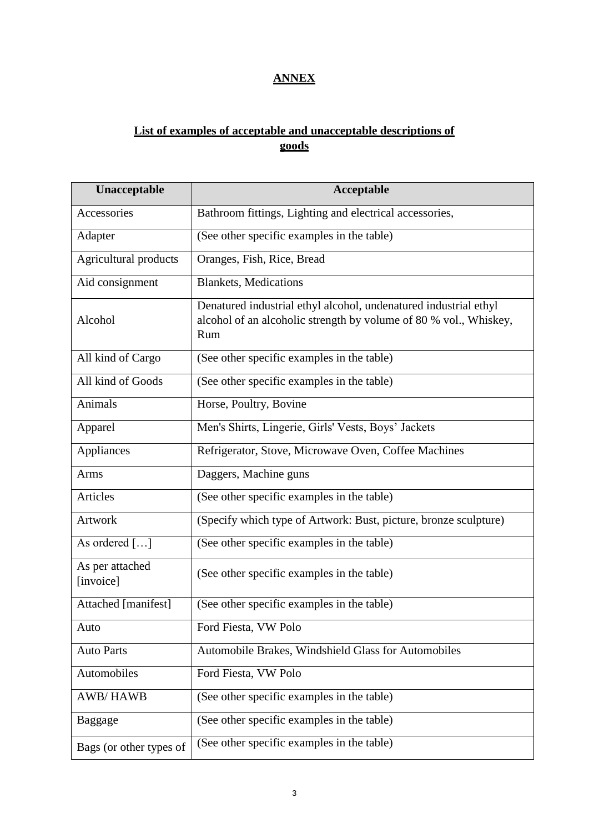# **ANNEX**

# **List of examples of acceptable and unacceptable descriptions of goods**

| Unacceptable                 | <b>Acceptable</b>                                                                                                                            |
|------------------------------|----------------------------------------------------------------------------------------------------------------------------------------------|
| Accessories                  | Bathroom fittings, Lighting and electrical accessories,                                                                                      |
| Adapter                      | (See other specific examples in the table)                                                                                                   |
| Agricultural products        | Oranges, Fish, Rice, Bread                                                                                                                   |
| Aid consignment              | <b>Blankets</b> , Medications                                                                                                                |
| Alcohol                      | Denatured industrial ethyl alcohol, undenatured industrial ethyl<br>alcohol of an alcoholic strength by volume of 80 % vol., Whiskey,<br>Rum |
| All kind of Cargo            | (See other specific examples in the table)                                                                                                   |
| All kind of Goods            | (See other specific examples in the table)                                                                                                   |
| Animals                      | Horse, Poultry, Bovine                                                                                                                       |
| Apparel                      | Men's Shirts, Lingerie, Girls' Vests, Boys' Jackets                                                                                          |
| Appliances                   | Refrigerator, Stove, Microwave Oven, Coffee Machines                                                                                         |
| Arms                         | Daggers, Machine guns                                                                                                                        |
| Articles                     | (See other specific examples in the table)                                                                                                   |
| <b>Artwork</b>               | (Specify which type of Artwork: Bust, picture, bronze sculpture)                                                                             |
| As ordered []                | (See other specific examples in the table)                                                                                                   |
| As per attached<br>[invoice] | (See other specific examples in the table)                                                                                                   |
| Attached [manifest]          | (See other specific examples in the table)                                                                                                   |
| Auto                         | Ford Fiesta, VW Polo                                                                                                                         |
| <b>Auto Parts</b>            | Automobile Brakes, Windshield Glass for Automobiles                                                                                          |
| Automobiles                  | Ford Fiesta, VW Polo                                                                                                                         |
| <b>AWB/HAWB</b>              | (See other specific examples in the table)                                                                                                   |
| Baggage                      | (See other specific examples in the table)                                                                                                   |
| Bags (or other types of      | (See other specific examples in the table)                                                                                                   |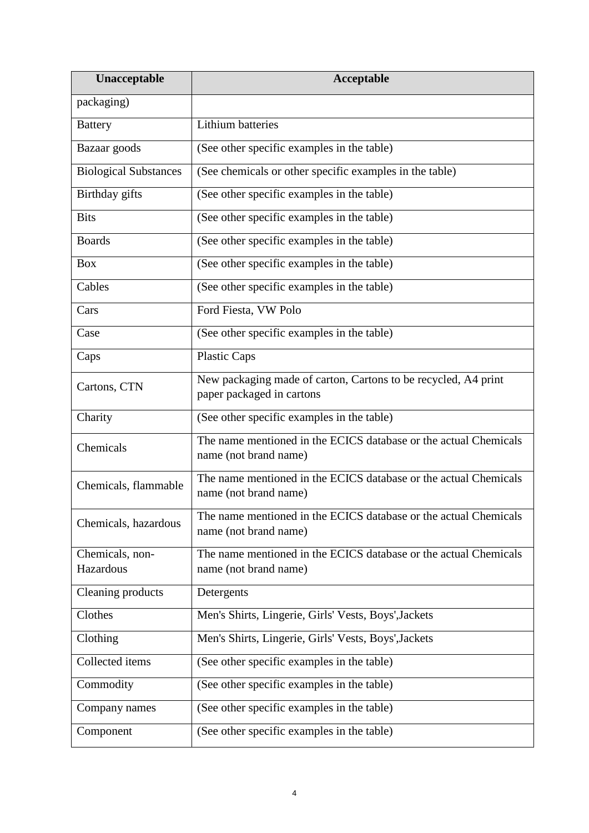| Unacceptable                 | Acceptable                                                                                  |
|------------------------------|---------------------------------------------------------------------------------------------|
| packaging)                   |                                                                                             |
| <b>Battery</b>               | Lithium batteries                                                                           |
| Bazaar goods                 | (See other specific examples in the table)                                                  |
| <b>Biological Substances</b> | (See chemicals or other specific examples in the table)                                     |
| Birthday gifts               | (See other specific examples in the table)                                                  |
| <b>Bits</b>                  | (See other specific examples in the table)                                                  |
| <b>Boards</b>                | (See other specific examples in the table)                                                  |
| <b>Box</b>                   | (See other specific examples in the table)                                                  |
| Cables                       | (See other specific examples in the table)                                                  |
| Cars                         | Ford Fiesta, VW Polo                                                                        |
| Case                         | (See other specific examples in the table)                                                  |
| Caps                         | <b>Plastic Caps</b>                                                                         |
| Cartons, CTN                 | New packaging made of carton, Cartons to be recycled, A4 print<br>paper packaged in cartons |
| Charity                      | (See other specific examples in the table)                                                  |
| Chemicals                    | The name mentioned in the ECICS database or the actual Chemicals<br>name (not brand name)   |
| Chemicals, flammable         | The name mentioned in the ECICS database or the actual Chemicals<br>name (not brand name)   |
| Chemicals, hazardous         | The name mentioned in the ECICS database or the actual Chemicals<br>name (not brand name)   |
| Chemicals, non-<br>Hazardous | The name mentioned in the ECICS database or the actual Chemicals<br>name (not brand name)   |
| Cleaning products            | Detergents                                                                                  |
| Clothes                      | Men's Shirts, Lingerie, Girls' Vests, Boys', Jackets                                        |
| Clothing                     | Men's Shirts, Lingerie, Girls' Vests, Boys', Jackets                                        |
| Collected items              | (See other specific examples in the table)                                                  |
| Commodity                    | (See other specific examples in the table)                                                  |
| Company names                | (See other specific examples in the table)                                                  |
| Component                    | (See other specific examples in the table)                                                  |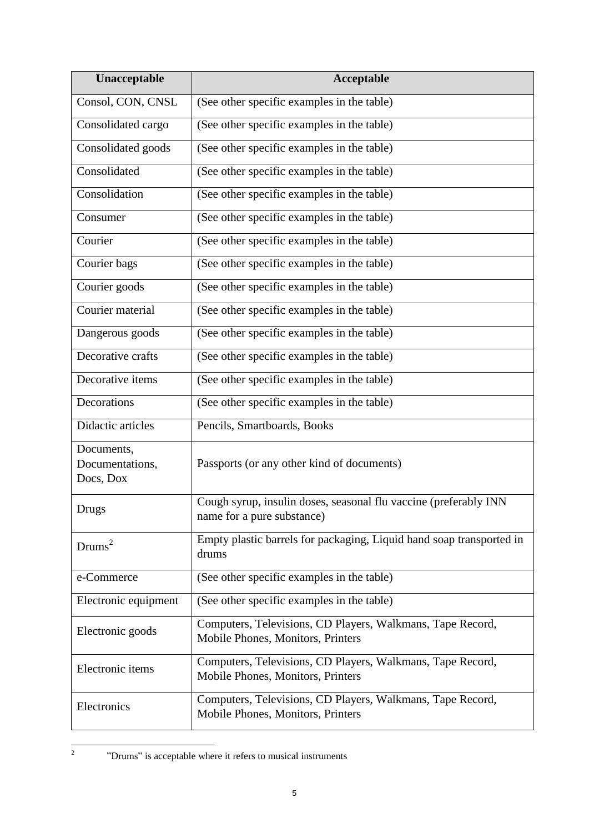| Unacceptable                               | Acceptable                                                                                      |
|--------------------------------------------|-------------------------------------------------------------------------------------------------|
| Consol, CON, CNSL                          | (See other specific examples in the table)                                                      |
| Consolidated cargo                         | (See other specific examples in the table)                                                      |
| Consolidated goods                         | (See other specific examples in the table)                                                      |
| Consolidated                               | (See other specific examples in the table)                                                      |
| Consolidation                              | (See other specific examples in the table)                                                      |
| Consumer                                   | (See other specific examples in the table)                                                      |
| Courier                                    | (See other specific examples in the table)                                                      |
| Courier bags                               | (See other specific examples in the table)                                                      |
| Courier goods                              | (See other specific examples in the table)                                                      |
| Courier material                           | (See other specific examples in the table)                                                      |
| Dangerous goods                            | (See other specific examples in the table)                                                      |
| Decorative crafts                          | (See other specific examples in the table)                                                      |
| Decorative items                           | (See other specific examples in the table)                                                      |
| Decorations                                | (See other specific examples in the table)                                                      |
| Didactic articles                          | Pencils, Smartboards, Books                                                                     |
| Documents,<br>Documentations,<br>Docs, Dox | Passports (or any other kind of documents)                                                      |
| Drugs                                      | Cough syrup, insulin doses, seasonal flu vaccine (preferably INN<br>name for a pure substance)  |
| Drums <sup>2</sup>                         | Empty plastic barrels for packaging, Liquid hand soap transported in<br>drums                   |
| e-Commerce                                 | (See other specific examples in the table)                                                      |
| Electronic equipment                       | (See other specific examples in the table)                                                      |
| Electronic goods                           | Computers, Televisions, CD Players, Walkmans, Tape Record,<br>Mobile Phones, Monitors, Printers |
| Electronic items                           | Computers, Televisions, CD Players, Walkmans, Tape Record,<br>Mobile Phones, Monitors, Printers |
| Electronics                                | Computers, Televisions, CD Players, Walkmans, Tape Record,<br>Mobile Phones, Monitors, Printers |

<sup>&</sup>quot;Drums" is acceptable where it refers to musical instruments

 $\frac{1}{2}$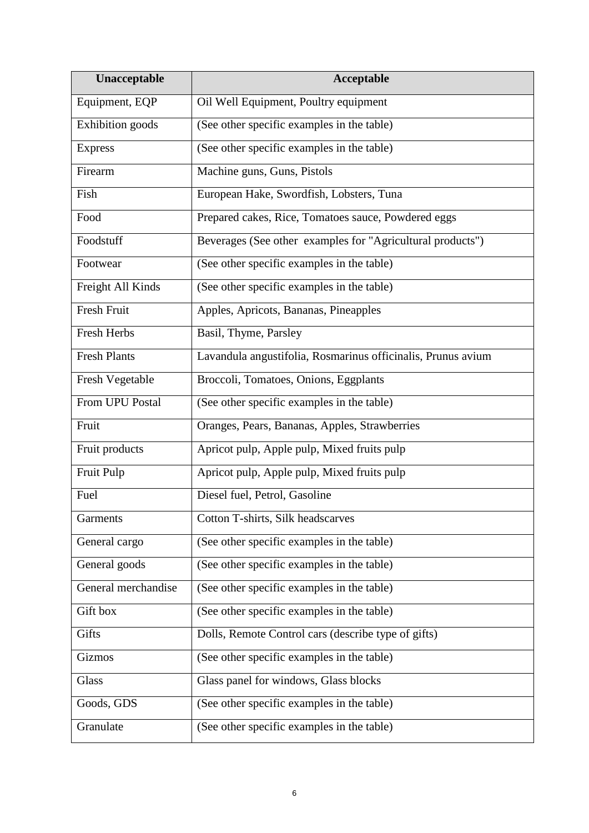| Unacceptable            | Acceptable                                                   |
|-------------------------|--------------------------------------------------------------|
| Equipment, EQP          | Oil Well Equipment, Poultry equipment                        |
| <b>Exhibition</b> goods | (See other specific examples in the table)                   |
| <b>Express</b>          | (See other specific examples in the table)                   |
| Firearm                 | Machine guns, Guns, Pistols                                  |
| Fish                    | European Hake, Swordfish, Lobsters, Tuna                     |
| Food                    | Prepared cakes, Rice, Tomatoes sauce, Powdered eggs          |
| Foodstuff               | Beverages (See other examples for "Agricultural products")   |
| Footwear                | (See other specific examples in the table)                   |
| Freight All Kinds       | (See other specific examples in the table)                   |
| Fresh Fruit             | Apples, Apricots, Bananas, Pineapples                        |
| Fresh Herbs             | Basil, Thyme, Parsley                                        |
| <b>Fresh Plants</b>     | Lavandula angustifolia, Rosmarinus officinalis, Prunus avium |
| Fresh Vegetable         | Broccoli, Tomatoes, Onions, Eggplants                        |
| From UPU Postal         | (See other specific examples in the table)                   |
| Fruit                   | Oranges, Pears, Bananas, Apples, Strawberries                |
| Fruit products          | Apricot pulp, Apple pulp, Mixed fruits pulp                  |
| Fruit Pulp              | Apricot pulp, Apple pulp, Mixed fruits pulp                  |
| Fuel                    | Diesel fuel, Petrol, Gasoline                                |
| Garments                | Cotton T-shirts, Silk headscarves                            |
| General cargo           | (See other specific examples in the table)                   |
| General goods           | (See other specific examples in the table)                   |
| General merchandise     | (See other specific examples in the table)                   |
| Gift box                | (See other specific examples in the table)                   |
| Gifts                   | Dolls, Remote Control cars (describe type of gifts)          |
| Gizmos                  | (See other specific examples in the table)                   |
| Glass                   | Glass panel for windows, Glass blocks                        |
| Goods, GDS              | (See other specific examples in the table)                   |
| Granulate               | (See other specific examples in the table)                   |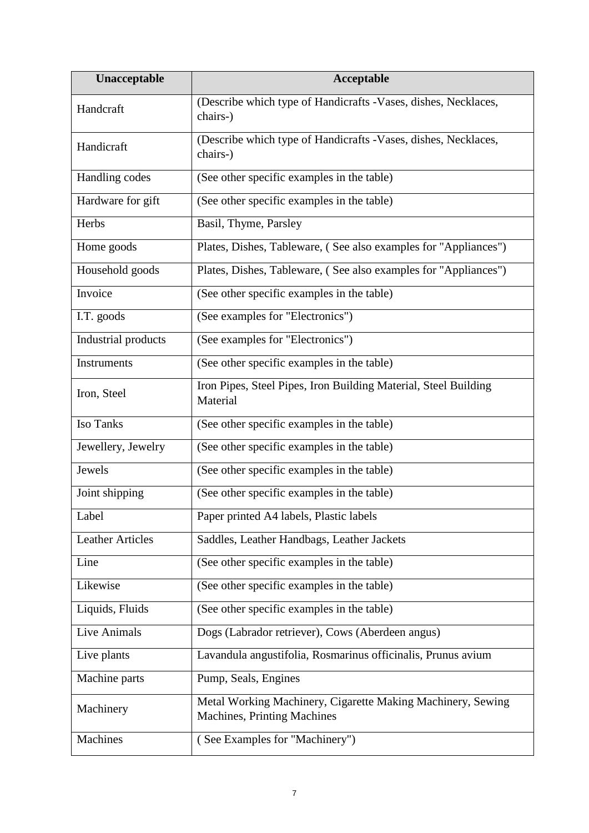| Unacceptable            | Acceptable                                                                                 |
|-------------------------|--------------------------------------------------------------------------------------------|
| Handcraft               | (Describe which type of Handicrafts -Vases, dishes, Necklaces,<br>chairs-)                 |
| Handicraft              | (Describe which type of Handicrafts -Vases, dishes, Necklaces,<br>chairs-)                 |
| Handling codes          | (See other specific examples in the table)                                                 |
| Hardware for gift       | (See other specific examples in the table)                                                 |
| Herbs                   | Basil, Thyme, Parsley                                                                      |
| Home goods              | Plates, Dishes, Tableware, (See also examples for "Appliances")                            |
| Household goods         | Plates, Dishes, Tableware, (See also examples for "Appliances")                            |
| Invoice                 | (See other specific examples in the table)                                                 |
| I.T. goods              | (See examples for "Electronics")                                                           |
| Industrial products     | (See examples for "Electronics")                                                           |
| Instruments             | (See other specific examples in the table)                                                 |
| Iron, Steel             | Iron Pipes, Steel Pipes, Iron Building Material, Steel Building<br>Material                |
| Iso Tanks               | (See other specific examples in the table)                                                 |
| Jewellery, Jewelry      | (See other specific examples in the table)                                                 |
| Jewels                  | (See other specific examples in the table)                                                 |
| Joint shipping          | (See other specific examples in the table)                                                 |
| Label                   | Paper printed A4 labels, Plastic labels                                                    |
| <b>Leather Articles</b> | Saddles, Leather Handbags, Leather Jackets                                                 |
| Line                    | (See other specific examples in the table)                                                 |
| Likewise                | (See other specific examples in the table)                                                 |
| Liquids, Fluids         | (See other specific examples in the table)                                                 |
| Live Animals            | Dogs (Labrador retriever), Cows (Aberdeen angus)                                           |
| Live plants             | Lavandula angustifolia, Rosmarinus officinalis, Prunus avium                               |
| Machine parts           | Pump, Seals, Engines                                                                       |
| Machinery               | Metal Working Machinery, Cigarette Making Machinery, Sewing<br>Machines, Printing Machines |
| Machines                | (See Examples for "Machinery")                                                             |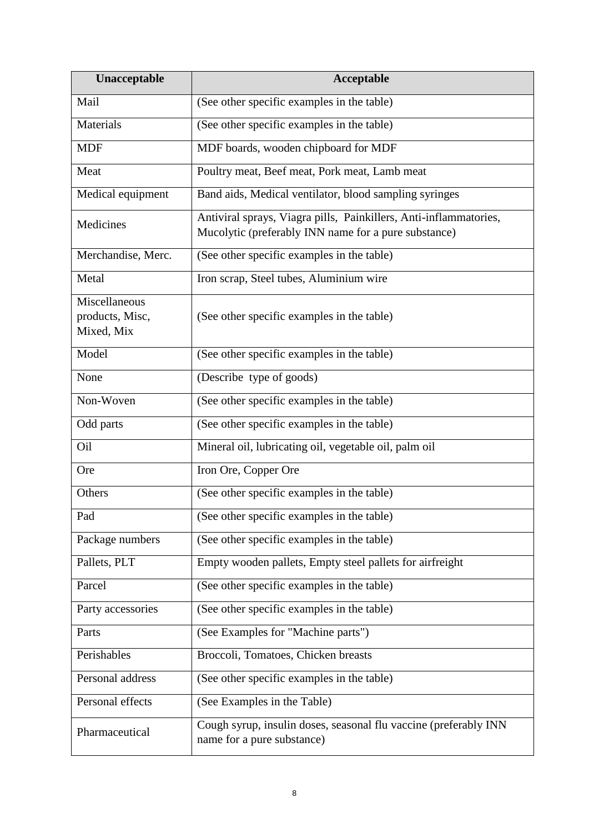| Unacceptable                                   | <b>Acceptable</b>                                                                                                         |
|------------------------------------------------|---------------------------------------------------------------------------------------------------------------------------|
| Mail                                           | (See other specific examples in the table)                                                                                |
| Materials                                      | (See other specific examples in the table)                                                                                |
| <b>MDF</b>                                     | MDF boards, wooden chipboard for MDF                                                                                      |
| Meat                                           | Poultry meat, Beef meat, Pork meat, Lamb meat                                                                             |
| Medical equipment                              | Band aids, Medical ventilator, blood sampling syringes                                                                    |
| Medicines                                      | Antiviral sprays, Viagra pills, Painkillers, Anti-inflammatories,<br>Mucolytic (preferably INN name for a pure substance) |
| Merchandise, Merc.                             | (See other specific examples in the table)                                                                                |
| Metal                                          | Iron scrap, Steel tubes, Aluminium wire                                                                                   |
| Miscellaneous<br>products, Misc,<br>Mixed, Mix | (See other specific examples in the table)                                                                                |
| Model                                          | (See other specific examples in the table)                                                                                |
| None                                           | (Describe type of goods)                                                                                                  |
| Non-Woven                                      | (See other specific examples in the table)                                                                                |
| Odd parts                                      | (See other specific examples in the table)                                                                                |
| Oil                                            | Mineral oil, lubricating oil, vegetable oil, palm oil                                                                     |
| <b>Ore</b>                                     | Iron Ore, Copper Ore                                                                                                      |
| Others                                         | (See other specific examples in the table)                                                                                |
| Pad                                            | (See other specific examples in the table)                                                                                |
| Package numbers                                | (See other specific examples in the table)                                                                                |
| Pallets, PLT                                   | Empty wooden pallets, Empty steel pallets for airfreight                                                                  |
| Parcel                                         | (See other specific examples in the table)                                                                                |
| Party accessories                              | (See other specific examples in the table)                                                                                |
| Parts                                          | (See Examples for "Machine parts")                                                                                        |
| Perishables                                    | Broccoli, Tomatoes, Chicken breasts                                                                                       |
| Personal address                               | (See other specific examples in the table)                                                                                |
| Personal effects                               | (See Examples in the Table)                                                                                               |
| Pharmaceutical                                 | Cough syrup, insulin doses, seasonal flu vaccine (preferably INN<br>name for a pure substance)                            |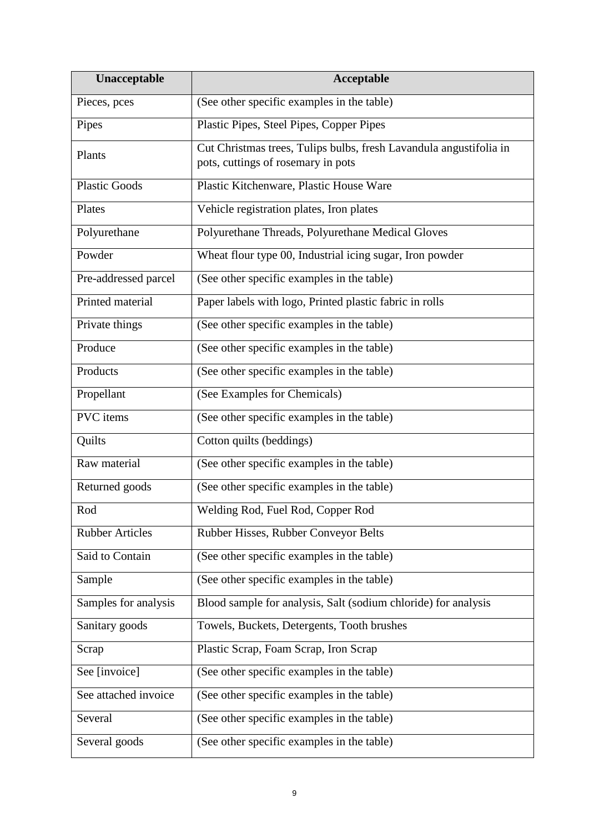| Unacceptable           | <b>Acceptable</b>                                                                                        |
|------------------------|----------------------------------------------------------------------------------------------------------|
| Pieces, pces           | (See other specific examples in the table)                                                               |
| Pipes                  | Plastic Pipes, Steel Pipes, Copper Pipes                                                                 |
| Plants                 | Cut Christmas trees, Tulips bulbs, fresh Lavandula angustifolia in<br>pots, cuttings of rosemary in pots |
| <b>Plastic Goods</b>   | Plastic Kitchenware, Plastic House Ware                                                                  |
| Plates                 | Vehicle registration plates, Iron plates                                                                 |
| Polyurethane           | Polyurethane Threads, Polyurethane Medical Gloves                                                        |
| Powder                 | Wheat flour type 00, Industrial icing sugar, Iron powder                                                 |
| Pre-addressed parcel   | (See other specific examples in the table)                                                               |
| Printed material       | Paper labels with logo, Printed plastic fabric in rolls                                                  |
| Private things         | (See other specific examples in the table)                                                               |
| Produce                | (See other specific examples in the table)                                                               |
| Products               | (See other specific examples in the table)                                                               |
| Propellant             | (See Examples for Chemicals)                                                                             |
| PVC items              | (See other specific examples in the table)                                                               |
| Quilts                 | Cotton quilts (beddings)                                                                                 |
| Raw material           | (See other specific examples in the table)                                                               |
| Returned goods         | (See other specific examples in the table)                                                               |
| Rod                    | Welding Rod, Fuel Rod, Copper Rod                                                                        |
| <b>Rubber Articles</b> | Rubber Hisses, Rubber Conveyor Belts                                                                     |
| Said to Contain        | (See other specific examples in the table)                                                               |
| Sample                 | (See other specific examples in the table)                                                               |
| Samples for analysis   | Blood sample for analysis, Salt (sodium chloride) for analysis                                           |
| Sanitary goods         | Towels, Buckets, Detergents, Tooth brushes                                                               |
| Scrap                  | Plastic Scrap, Foam Scrap, Iron Scrap                                                                    |
| See [invoice]          | (See other specific examples in the table)                                                               |
| See attached invoice   | (See other specific examples in the table)                                                               |
| Several                | (See other specific examples in the table)                                                               |
| Several goods          | (See other specific examples in the table)                                                               |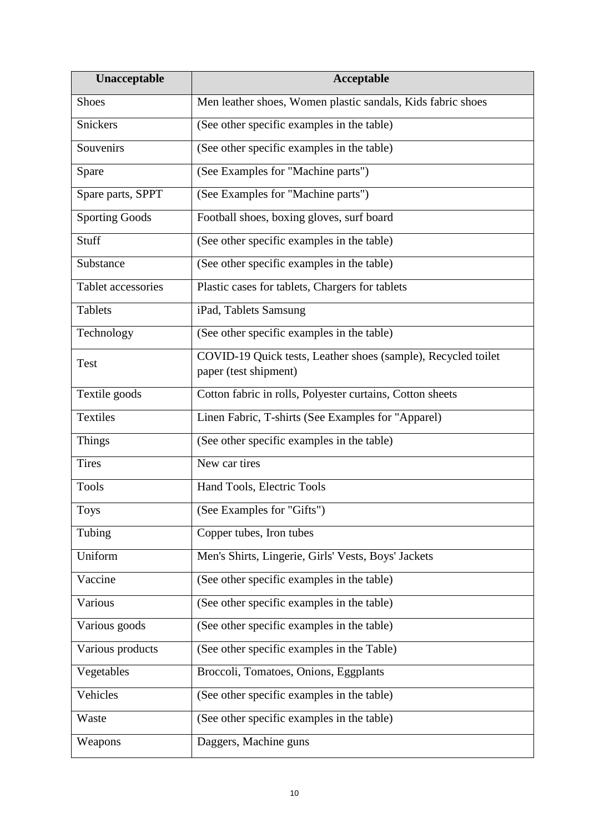| Unacceptable          | Acceptable                                                                             |
|-----------------------|----------------------------------------------------------------------------------------|
| <b>Shoes</b>          | Men leather shoes, Women plastic sandals, Kids fabric shoes                            |
| Snickers              | (See other specific examples in the table)                                             |
| Souvenirs             | (See other specific examples in the table)                                             |
| Spare                 | (See Examples for "Machine parts")                                                     |
| Spare parts, SPPT     | (See Examples for "Machine parts")                                                     |
| <b>Sporting Goods</b> | Football shoes, boxing gloves, surf board                                              |
| Stuff                 | (See other specific examples in the table)                                             |
| Substance             | (See other specific examples in the table)                                             |
| Tablet accessories    | Plastic cases for tablets, Chargers for tablets                                        |
| <b>Tablets</b>        | iPad, Tablets Samsung                                                                  |
| Technology            | (See other specific examples in the table)                                             |
| <b>Test</b>           | COVID-19 Quick tests, Leather shoes (sample), Recycled toilet<br>paper (test shipment) |
| Textile goods         | Cotton fabric in rolls, Polyester curtains, Cotton sheets                              |
| Textiles              | Linen Fabric, T-shirts (See Examples for "Apparel)                                     |
| <b>Things</b>         | (See other specific examples in the table)                                             |
| <b>Tires</b>          | New car tires                                                                          |
| <b>Tools</b>          | Hand Tools, Electric Tools                                                             |
| <b>Toys</b>           | (See Examples for "Gifts")                                                             |
| Tubing                | Copper tubes, Iron tubes                                                               |
| Uniform               | Men's Shirts, Lingerie, Girls' Vests, Boys' Jackets                                    |
| Vaccine               | (See other specific examples in the table)                                             |
| Various               | (See other specific examples in the table)                                             |
| Various goods         | (See other specific examples in the table)                                             |
| Various products      | (See other specific examples in the Table)                                             |
| Vegetables            | Broccoli, Tomatoes, Onions, Eggplants                                                  |
| Vehicles              | (See other specific examples in the table)                                             |
| Waste                 | (See other specific examples in the table)                                             |
| Weapons               | Daggers, Machine guns                                                                  |